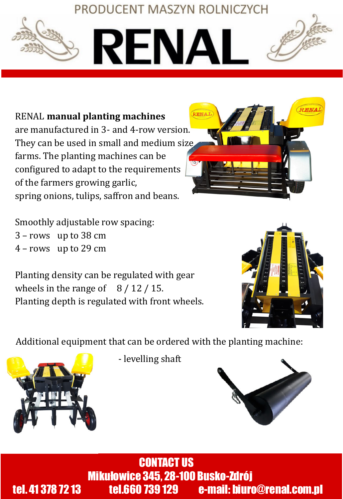PRODUCENT MASZYN ROLNICZYCH

**RENAI** 



RENAL **manual planting machines** are manufactured in 3- and 4-row version. They can be used in small and medium size farms. The planting machines can be configured to adapt to the requirements of the farmers growing garlic, spring onions, tulips, saffron and beans.

Smoothly adjustable row spacing: 3 – rows up to 38 cm 4 – rows up to 29 cm

Planting density can be regulated with gear wheels in the range of  $8/12/15$ . Planting depth is regulated with front wheels.



Additional equipment that can be ordered with the planting machine:



- levelling shaft



CONTACT US Mikułowice 345, 28-100 Busko-Zdrój tel. 41 378 72 13 tel.660 739 129 e-mail: biuro@renal.com.pl